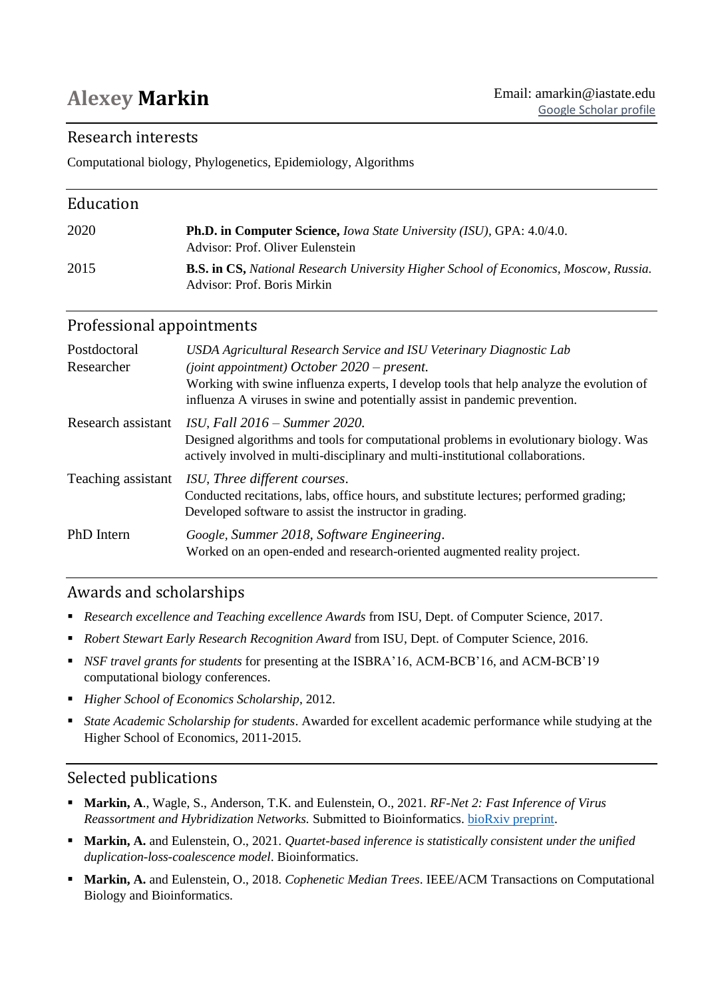# Research interests

Computational biology, Phylogenetics, Epidemiology, Algorithms

| Education |                                                                                                                            |
|-----------|----------------------------------------------------------------------------------------------------------------------------|
| 2020      | <b>Ph.D. in Computer Science, Iowa State University (ISU), GPA: 4.0/4.0.</b><br>Advisor: Prof. Oliver Eulenstein           |
| 2015      | <b>B.S. in CS,</b> National Research University Higher School of Economics, Moscow, Russia.<br>Advisor: Prof. Boris Mirkin |

# Professional appointments

| Postdoctoral<br>Researcher | USDA Agricultural Research Service and ISU Veterinary Diagnostic Lab<br>(joint appointment) October $2020$ – present.<br>Working with swine influenza experts, I develop tools that help analyze the evolution of<br>influenza A viruses in swine and potentially assist in pandemic prevention. |
|----------------------------|--------------------------------------------------------------------------------------------------------------------------------------------------------------------------------------------------------------------------------------------------------------------------------------------------|
| Research assistant         | $ISU, Fall 2016-Summer 2020.$<br>Designed algorithms and tools for computational problems in evolutionary biology. Was<br>actively involved in multi-disciplinary and multi-institutional collaborations.                                                                                        |
| Teaching assistant         | ISU, Three different courses.<br>Conducted recitations, labs, office hours, and substitute lectures; performed grading;<br>Developed software to assist the instructor in grading.                                                                                                               |
| PhD Intern                 | Google, Summer 2018, Software Engineering.<br>Worked on an open-ended and research-oriented augmented reality project.                                                                                                                                                                           |

# Awards and scholarships

- *Research excellence and Teaching excellence Awards* from ISU, Dept. of Computer Science, 2017.
- *Robert Stewart Early Research Recognition Award* from ISU, Dept. of Computer Science, 2016.
- *NSF travel grants for students* for presenting at the ISBRA'16, ACM-BCB'16, and ACM-BCB'19 computational biology conferences.
- *Higher School of Economics Scholarship*, 2012.
- *State Academic Scholarship for students*. Awarded for excellent academic performance while studying at the Higher School of Economics, 2011-2015.

# Selected publications

- **Markin, A**., Wagle, S., Anderson, T.K. and Eulenstein, O., 2021*. RF-Net 2: Fast Inference of Virus Reassortment and Hybridization Networks.* Submitted to Bioinformatics. [bioRxiv preprint.](https://www.biorxiv.org/content/10.1101/2021.05.05.442676v1.abstract)
- **Markin, A.** and Eulenstein, O., 2021. *Quartet-based inference is statistically consistent under the unified duplication-loss-coalescence model*. Bioinformatics.
- **Markin, A.** and Eulenstein, O., 2018. *Cophenetic Median Trees*. IEEE/ACM Transactions on Computational Biology and Bioinformatics.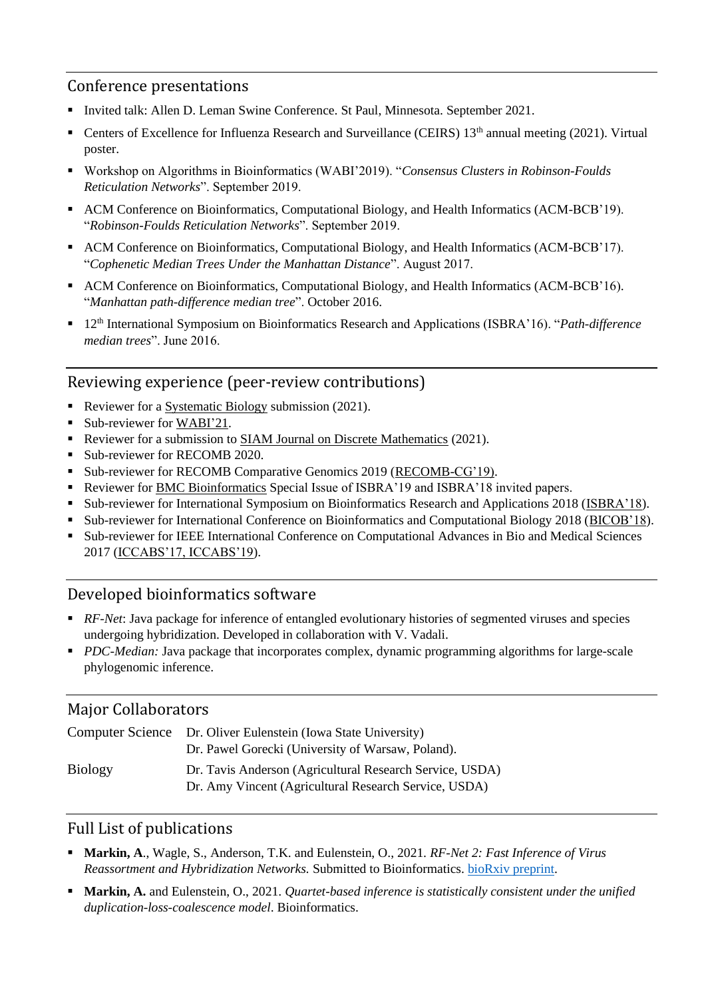# Conference presentations

- Invited talk: Allen D. Leman Swine Conference. St Paul, Minnesota. September 2021.
- Centers of Excellence for Influenza Research and Surveillance (CEIRS) 13<sup>th</sup> annual meeting (2021). Virtual poster.
- Workshop on Algorithms in Bioinformatics (WABI'2019). "*Consensus Clusters in Robinson-Foulds Reticulation Networks*". September 2019.
- ACM Conference on Bioinformatics, Computational Biology, and Health Informatics (ACM-BCB'19). "*Robinson-Foulds Reticulation Networks*". September 2019.
- ACM Conference on Bioinformatics, Computational Biology, and Health Informatics (ACM-BCB'17). "*Cophenetic Median Trees Under the Manhattan Distance*". August 2017.
- ACM Conference on Bioinformatics, Computational Biology, and Health Informatics (ACM-BCB'16). "*Manhattan path-difference median tree*". October 2016.
- 12<sup>th</sup> International Symposium on Bioinformatics Research and Applications (ISBRA'16). "*Path-difference median trees*". June 2016.

# Reviewing experience (peer-review contributions)

- Reviewer for a Systematic Biology submission (2021).
- Sub-reviewer for WABI'21.
- Reviewer for a submission to SIAM Journal on Discrete Mathematics (2021).
- Sub-reviewer for RECOMB 2020.
- Sub-reviewer for RECOMB Comparative Genomics 2019 (RECOMB-CG'19).
- Reviewer for BMC Bioinformatics Special Issue of ISBRA'19 and ISBRA'18 invited papers.
- Sub-reviewer for International Symposium on Bioinformatics Research and Applications 2018 (ISBRA'18).
- Sub-reviewer for International Conference on Bioinformatics and Computational Biology 2018 (BICOB'18).
- Sub-reviewer for IEEE International Conference on Computational Advances in Bio and Medical Sciences 2017 (ICCABS'17, ICCABS'19).

# Developed bioinformatics software

- *RF-Net*: Java package for inference of entangled evolutionary histories of segmented viruses and species undergoing hybridization. Developed in collaboration with V. Vadali.
- *PDC-Median:* Java package that incorporates complex, dynamic programming algorithms for large-scale phylogenomic inference.

## Major Collaborators

|                | Computer Science Dr. Oliver Eulenstein (Iowa State University) |  |
|----------------|----------------------------------------------------------------|--|
|                | Dr. Pawel Gorecki (University of Warsaw, Poland).              |  |
| <b>Biology</b> | Dr. Tavis Anderson (Agricultural Research Service, USDA)       |  |
|                | Dr. Amy Vincent (Agricultural Research Service, USDA)          |  |

## Full List of publications

- **Markin, A**., Wagle, S., Anderson, T.K. and Eulenstein, O., 2021*. RF-Net 2: Fast Inference of Virus Reassortment and Hybridization Networks.* Submitted to Bioinformatics. [bioRxiv preprint.](https://www.biorxiv.org/content/10.1101/2021.05.05.442676v1.abstract)
- **Markin, A.** and Eulenstein, O., 2021. *Quartet-based inference is statistically consistent under the unified duplication-loss-coalescence model*. Bioinformatics.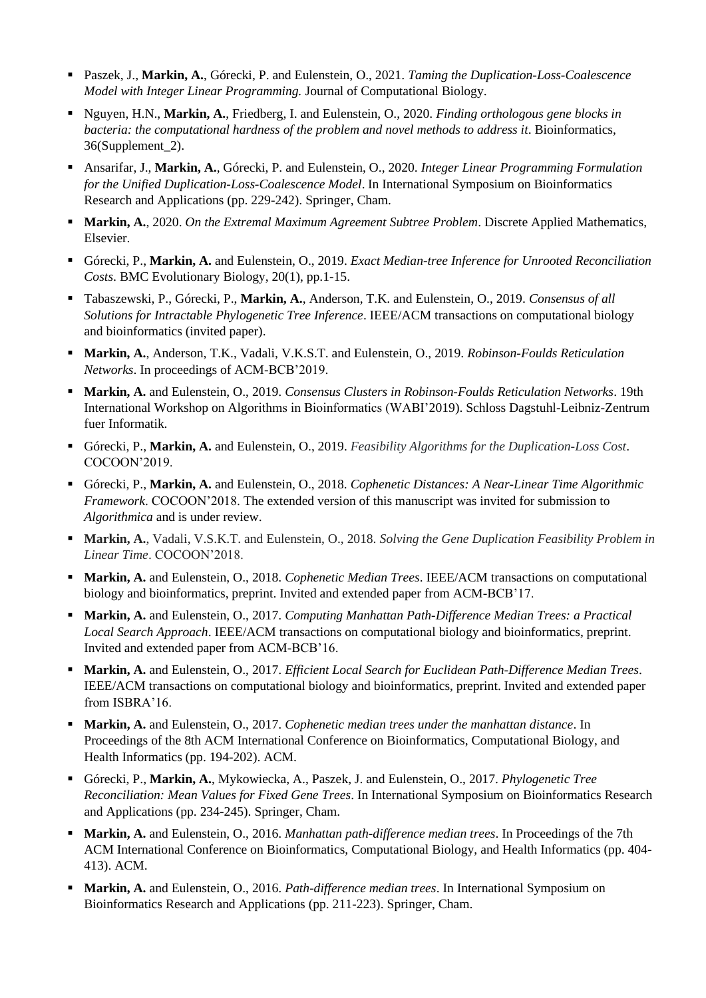- Paszek, J., **Markin, A.**, Górecki, P. and Eulenstein, O., 2021. *Taming the Duplication-Loss-Coalescence Model with Integer Linear Programming.* Journal of Computational Biology.
- Nguyen, H.N., **Markin, A.**, Friedberg, I. and Eulenstein, O., 2020. *Finding orthologous gene blocks in bacteria: the computational hardness of the problem and novel methods to address it*. Bioinformatics, 36(Supplement\_2).
- Ansarifar, J., **Markin, A.**, Górecki, P. and Eulenstein, O., 2020. *Integer Linear Programming Formulation for the Unified Duplication-Loss-Coalescence Model*. In International Symposium on Bioinformatics Research and Applications (pp. 229-242). Springer, Cham.
- **Markin, A.,** 2020. *On the Extremal Maximum Agreement Subtree Problem.* Discrete Applied Mathematics, Elsevier.
- Górecki, P., **Markin, A.** and Eulenstein, O., 2019. *Exact Median-tree Inference for Unrooted Reconciliation Costs*. BMC Evolutionary Biology, 20(1), pp.1-15.
- Tabaszewski, P., Górecki, P., **Markin, A.**, Anderson, T.K. and Eulenstein, O., 2019. *Consensus of all Solutions for Intractable Phylogenetic Tree Inference*. IEEE/ACM transactions on computational biology and bioinformatics (invited paper).
- **Markin, A.**, Anderson, T.K., Vadali, V.K.S.T. and Eulenstein, O., 2019. *Robinson-Foulds Reticulation Networks*. In proceedings of ACM-BCB'2019.
- **Markin, A.** and Eulenstein, O., 2019. *Consensus Clusters in Robinson-Foulds Reticulation Networks*. 19th International Workshop on Algorithms in Bioinformatics (WABI'2019). Schloss Dagstuhl-Leibniz-Zentrum fuer Informatik.
- Górecki, P., **Markin, A.** and Eulenstein, O., 2019. *Feasibility Algorithms for the Duplication-Loss Cost*. COCOON'2019.
- Górecki, P., **Markin, A.** and Eulenstein, O., 2018. *Cophenetic Distances: A Near-Linear Time Algorithmic Framework*. COCOON'2018. The extended version of this manuscript was invited for submission to *Algorithmica* and is under review.
- **Markin, A.**, Vadali, V.S.K.T. and Eulenstein, O., 2018. *Solving the Gene Duplication Feasibility Problem in Linear Time*. COCOON'2018.
- **Markin, A.** and Eulenstein, O., 2018. *Cophenetic Median Trees*. IEEE/ACM transactions on computational biology and bioinformatics, preprint. Invited and extended paper from ACM-BCB'17.
- **Markin, A.** and Eulenstein, O., 2017. *Computing Manhattan Path-Difference Median Trees: a Practical Local Search Approach*. IEEE/ACM transactions on computational biology and bioinformatics, preprint. Invited and extended paper from ACM-BCB'16.
- **Markin, A.** and Eulenstein, O., 2017. *Efficient Local Search for Euclidean Path-Difference Median Trees*. IEEE/ACM transactions on computational biology and bioinformatics, preprint. Invited and extended paper from ISBRA'16.
- **Markin, A.** and Eulenstein, O., 2017. *Cophenetic median trees under the manhattan distance*. In Proceedings of the 8th ACM International Conference on Bioinformatics, Computational Biology, and Health Informatics (pp. 194-202). ACM.
- Górecki, P., **Markin, A.**, Mykowiecka, A., Paszek, J. and Eulenstein, O., 2017. *Phylogenetic Tree Reconciliation: Mean Values for Fixed Gene Trees*. In International Symposium on Bioinformatics Research and Applications (pp. 234-245). Springer, Cham.
- **Markin, A.** and Eulenstein, O., 2016. *Manhattan path-difference median trees*. In Proceedings of the 7th ACM International Conference on Bioinformatics, Computational Biology, and Health Informatics (pp. 404- 413). ACM.
- **Markin, A.** and Eulenstein, O., 2016. *Path-difference median trees*. In International Symposium on Bioinformatics Research and Applications (pp. 211-223). Springer, Cham.